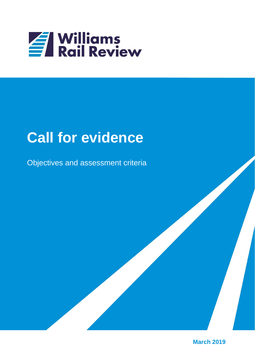

# **Call for evidence**

Objectives and assessment criteria

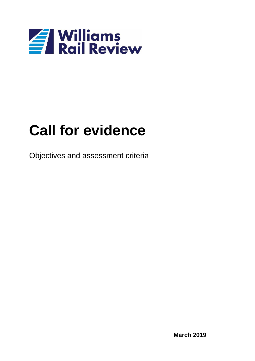

# **Call for evidence**

Objectives and assessment criteria

**March 2019**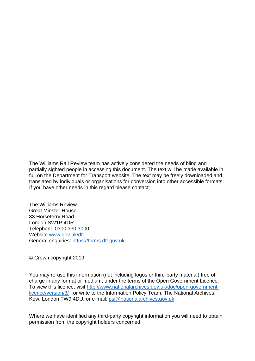The Williams Rail Review team has actively considered the needs of blind and partially sighted people in accessing this document. The text will be made available in full on the Department for Transport website. The text may be freely downloaded and translated by individuals or organisations for conversion into other accessible formats. If you have other needs in this regard please contact;

The Williams Review Great Minster House 33 Horseferry Road London SW1P 4DR Telephone 0300 330 3000 Website [www.gov.uk/dft](file:///C:/Data/WORD97/TEMPLATE/DFT/www.gov.uk/dft) General enquiries: [https://forms.dft.gov.uk](https://forms.dft.gov.uk/)

© Crown copyright 2019

You may re-use this information (not including logos or third-party material) free of charge in any format or medium, under the terms of the Open Government Licence. To view this licence, visit [http://www.nationalarchives.gov.uk/doc/open-government](http://www.nationalarchives.gov.uk/doc/open-government-licence/version/3/)[licence/version/3/](http://www.nationalarchives.gov.uk/doc/open-government-licence/version/3/) or write to the Information Policy Team, The National Archives, Kew, London TW9 4DU, or e-mail: [psi@nationalarchives.gov.uk](mailto:psi@nationalarchives.gov.uk)

Where we have identified any third-party copyright information you will need to obtain permission from the copyright holders concerned.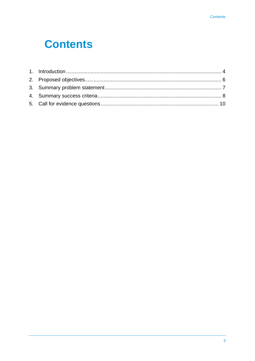### **Contents**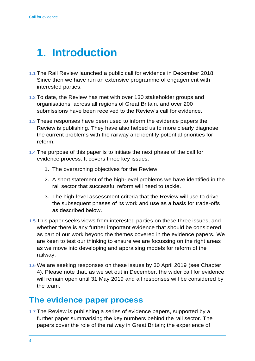### <span id="page-5-0"></span>**1. Introduction**

- 1.1 The Rail Review launched a public call for evidence in December 2018. Since then we have run an extensive programme of engagement with interested parties.
- 1.2 To date, the Review has met with over 130 stakeholder groups and organisations, across all regions of Great Britain, and over 200 submissions have been received to the Review's call for evidence.
- 1.3 These responses have been used to inform the evidence papers the Review is publishing. They have also helped us to more clearly diagnose the current problems with the railway and identify potential priorities for reform.
- 1.4 The purpose of this paper is to initiate the next phase of the call for evidence process. It covers three key issues:
	- 1. The overarching objectives for the Review.
	- 2. A short statement of the high-level problems we have identified in the rail sector that successful reform will need to tackle.
	- 3. The high-level assessment criteria that the Review will use to drive the subsequent phases of its work and use as a basis for trade-offs as described below.
- 1.5 This paper seeks views from interested parties on these three issues, and whether there is any further important evidence that should be considered as part of our work beyond the themes covered in the evidence papers. We are keen to test our thinking to ensure we are focussing on the right areas as we move into developing and appraising models for reform of the railway.
- 1.6 We are seeking responses on these issues by 30 April 2019 (see Chapter 4). Please note that, as we set out in December, the wider call for evidence will remain open until 31 May 2019 and all responses will be considered by the team.

### **The evidence paper process**

1.7 The Review is publishing a series of evidence papers, supported by a further paper summarising the key numbers behind the rail sector. The papers cover the role of the railway in Great Britain; the experience of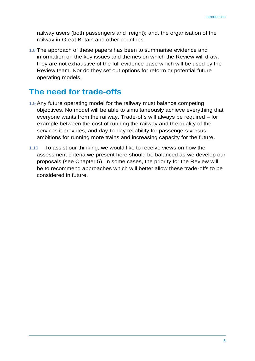railway users (both passengers and freight); and, the organisation of the railway in Great Britain and other countries.

1.8 The approach of these papers has been to summarise evidence and information on the key issues and themes on which the Review will draw; they are not exhaustive of the full evidence base which will be used by the Review team. Nor do they set out options for reform or potential future operating models.

### **The need for trade-offs**

- 1.9 Any future operating model for the railway must balance competing objectives. No model will be able to simultaneously achieve everything that everyone wants from the railway. Trade-offs will always be required – for example between the cost of running the railway and the quality of the services it provides, and day-to-day reliability for passengers versus ambitions for running more trains and increasing capacity for the future.
- 1.10 To assist our thinking, we would like to receive views on how the assessment criteria we present here should be balanced as we develop our proposals (see Chapter 5). In some cases, the priority for the Review will be to recommend approaches which will better allow these trade-offs to be considered in future.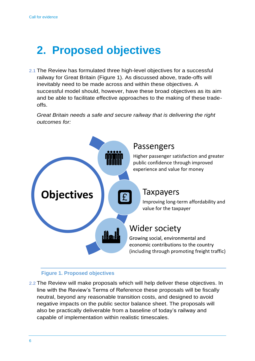### <span id="page-7-0"></span>**2. Proposed objectives**

2.1 The Review has formulated three high-level objectives for a successful railway for Great Britain (Figure 1). As discussed above, trade-offs will inevitably need to be made across and within these objectives. A successful model should, however, have these broad objectives as its aim and be able to facilitate effective approaches to the making of these tradeoffs.

*Great Britain needs a safe and secure railway that is delivering the right outcomes for:* 



#### **Figure 1. Proposed objectives**

2.2 The Review will make proposals which will help deliver these objectives. In line with the Review's Terms of Reference these proposals will be fiscally neutral, beyond any reasonable transition costs, and designed to avoid negative impacts on the public sector balance sheet. The proposals will also be practically deliverable from a baseline of today's railway and capable of implementation within realistic timescales.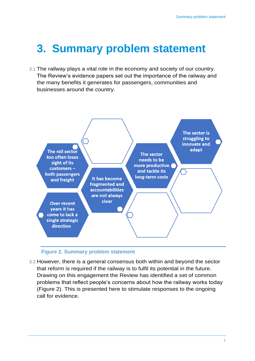### <span id="page-8-0"></span>**3. Summary problem statement**

3.1 The railway plays a vital role in the economy and society of our country. The Review's evidence papers set out the importance of the railway and the many benefits it generates for passengers, communities and businesses around the country.



#### **Figure 2. Summary problem statement**

3.2 However, there is a general consensus both within and beyond the sector that reform is required if the railway is to fulfil its potential in the future. Drawing on this engagement the Review has identified a set of common problems that reflect people's concerns about how the railway works today (Figure 2). This is presented here to stimulate responses to the ongoing call for evidence.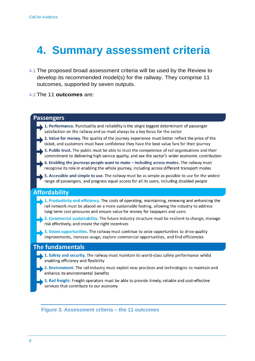## <span id="page-9-0"></span>**4. Summary assessment criteria**

- 4.1 The proposed broad assessment criteria will be used by the Review to develop its recommended model(s) for the railway. They comprise 11 outcomes, supported by seven outputs.
- 4.2 The 11 **outcomes** are:



**Figure 3. Assessment criteria – the 11 outcomes**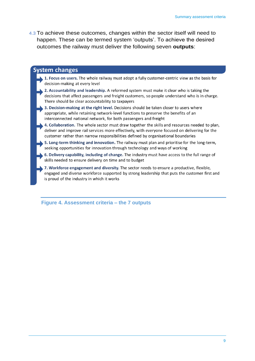4.3 To achieve these outcomes, changes within the sector itself will need to happen. These can be termed system 'outputs'. To achieve the desired outcomes the railway must deliver the following seven **outputs**:

#### **System changes**

- 1. Focus on users. The whole railway must adopt a fully customer-centric view as the basis for decision-making at every level
- 2. Accountability and leadership. A reformed system must make it clear who is taking the decisions that affect passengers and freight customers, so people understand who is in charge. There should be clear accountability to taxpayers
- 3. Decision-making at the right level. Decisions should be taken closer to users where appropriate, while retaining network-level functions to preserve the benefits of an interconnected national network, for both passengers and freight
- 4. Collaboration. The whole sector must draw together the skills and resources needed to plan, deliver and improve rail services more effectively, with everyone focused on delivering for the customer rather than narrow responsibilities defined by organisational boundaries
- \$5. Long-term thinking and innovation. The railway must plan and prioritise for the long-term, seeking opportunities for innovation through technology and ways of working
- 6. Delivery capability, including of change. The industry must have access to the full range of skills needed to ensure delivery on time and to budget
- 7. Workforce engagement and diversity. The sector needs to ensure a productive, flexible, engaged and diverse workforce supported by strong leadership that puts the customer first and is proud of the industry in which it works

**Figure 4. Assessment criteria – the 7 outputs**